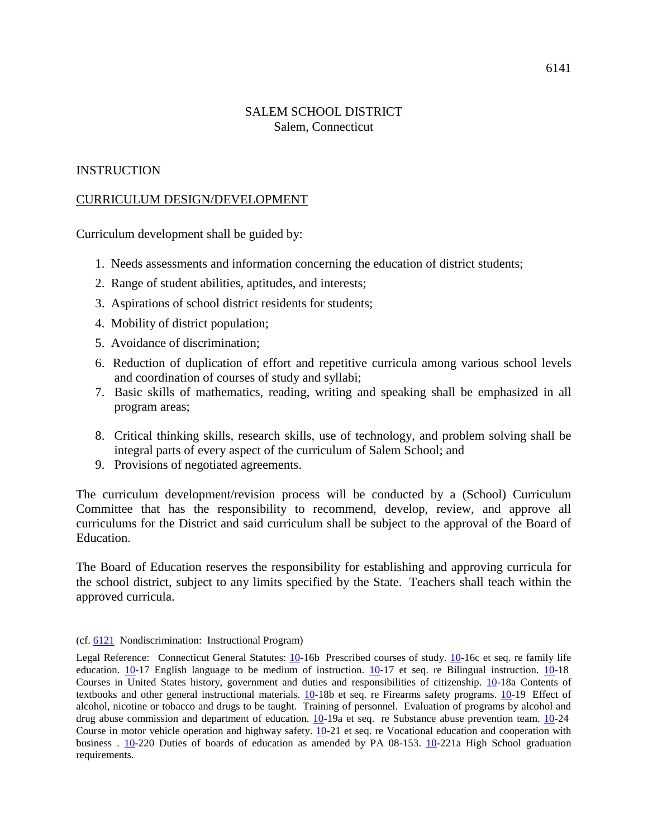## SALEM SCHOOL DISTRICT Salem, Connecticut

## **INSTRUCTION**

### CURRICULUM DESIGN/DEVELOPMENT

Curriculum development shall be guided by:

- 1. Needs assessments and information concerning the education of district students;
- 2. Range of student abilities, aptitudes, and interests;
- 3. Aspirations of school district residents for students;
- 4. Mobility of district population;
- 5. Avoidance of discrimination;
- 6. Reduction of duplication of effort and repetitive curricula among various school levels and coordination of courses of study and syllabi;
- 7. Basic skills of mathematics, reading, writing and speaking shall be emphasized in all program areas;
- 8. Critical thinking skills, research skills, use of technology, and problem solving shall be integral parts of every aspect of the curriculum of Salem School; and
- 9. Provisions of negotiated agreements.

The curriculum development/revision process will be conducted by a (School) Curriculum Committee that has the responsibility to recommend, develop, review, and approve all curriculums for the District and said curriculum shall be subject to the approval of the Board of Education.

The Board of Education reserves the responsibility for establishing and approving curricula for the school district, subject to any limits specified by the State. Teachers shall teach within the approved curricula.

#### (cf. [6121](http://z2policy.cabe.org/cabe/DocViewer.jsp?docid=370&z2collection=core%23JD_6121) Nondiscrimination: Instructional Program)

Legal Reference: Connecticut General Statutes: [10-](http://www.cga.ct.gov/current/pub/title_10.htm)16b Prescribed courses of study. [10-](http://www.cga.ct.gov/current/pub/title_10.htm)16c et seq. re family life education. [10-](http://www.cga.ct.gov/current/pub/title_10.htm)17 English language to be medium of instruction. [10-](http://www.cga.ct.gov/current/pub/title_10.htm)17 et seq. re Bilingual instruction. [10-](http://www.cga.ct.gov/current/pub/title_10.htm)18 Courses in United States history, government and duties and responsibilities of citizenship. [10-](http://www.cga.ct.gov/current/pub/title_10.htm)18a Contents of textbooks and other general instructional materials. [10-](http://www.cga.ct.gov/current/pub/title_10.htm)18b et seq. re Firearms safety programs. 10-19 Effect of alcohol, nicotine or tobacco and drugs to be taught. Training of personnel. Evaluation of programs by alcohol and drug abuse commission and department of education. [10-](http://www.cga.ct.gov/current/pub/title_10.htm)19a et seq. re Substance abuse prevention team. 10-24 Course in motor vehicle operation and highway safety.  $\overline{10}$ -21 et seq. re Vocational education and cooperation with business . [10-](http://www.cga.ct.gov/current/pub/title_10.htm)220 Duties of boards of education as amended by PA 08-153. [10-](http://www.cga.ct.gov/current/pub/title_10.htm)221a High School graduation requirements.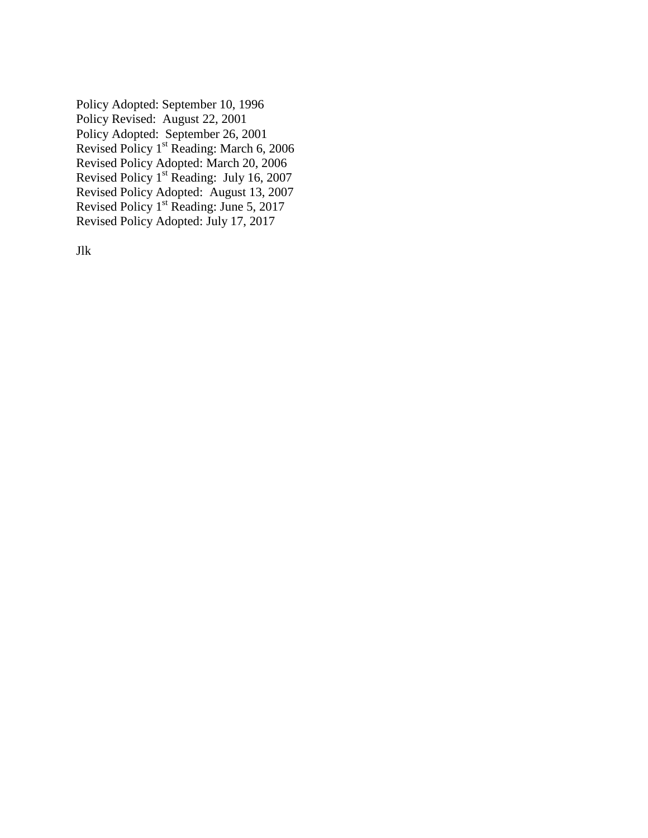Policy Adopted: September 10, 1996 Policy Revised: August 22, 2001 Policy Adopted: September 26, 2001 Revised Policy 1<sup>st</sup> Reading: March 6, 2006 Revised Policy Adopted: March 20, 2006 Revised Policy 1st Reading: July 16, 2007 Revised Policy Adopted: August 13, 2007 Revised Policy 1<sup>st</sup> Reading: June 5, 2017 Revised Policy Adopted: July 17, 2017

Jlk